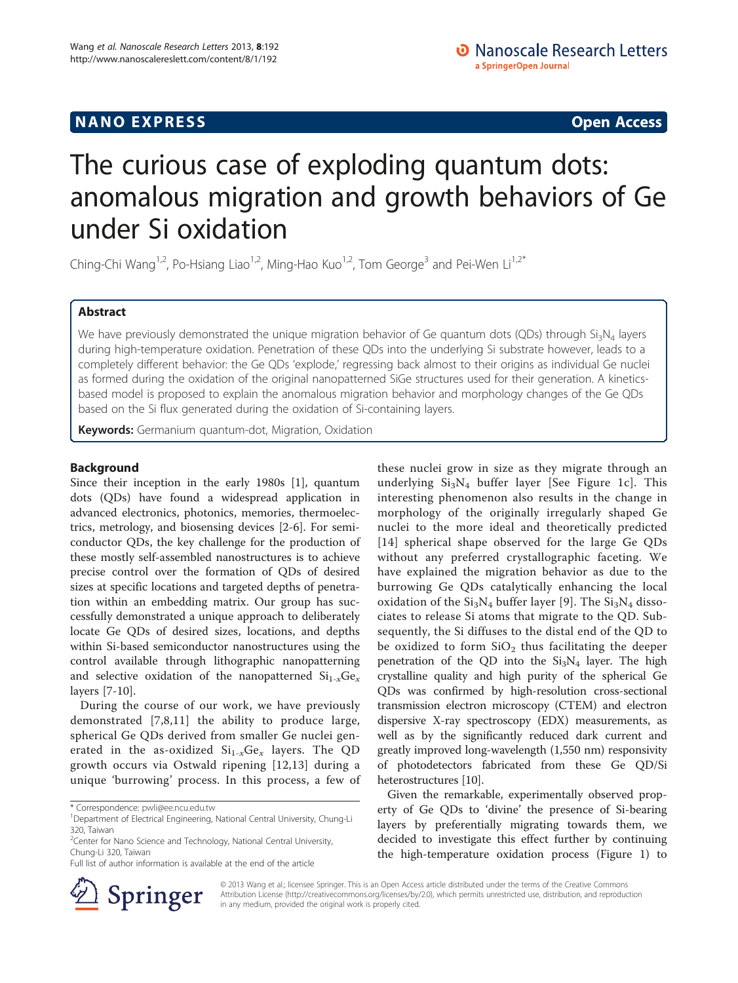# **NANO EXPRESS** Open Access **CONTROL**

# The curious case of exploding quantum dots: anomalous migration and growth behaviors of Ge under Si oxidation

Ching-Chi Wang<sup>1,2</sup>, Po-Hsiang Liao<sup>1,2</sup>, Ming-Hao Kuo<sup>1,2</sup>, Tom George<sup>3</sup> and Pei-Wen Li<sup>1,2\*</sup>

# Abstract

We have previously demonstrated the unique migration behavior of Ge quantum dots (QDs) through  $Si<sub>3</sub>N<sub>4</sub>$  layers during high-temperature oxidation. Penetration of these QDs into the underlying Si substrate however, leads to a completely different behavior: the Ge QDs 'explode,' regressing back almost to their origins as individual Ge nuclei as formed during the oxidation of the original nanopatterned SiGe structures used for their generation. A kineticsbased model is proposed to explain the anomalous migration behavior and morphology changes of the Ge QDs based on the Si flux generated during the oxidation of Si-containing layers.

Keywords: Germanium quantum-dot, Migration, Oxidation

# Background

Since their inception in the early 1980s [\[1](#page-4-0)], quantum dots (QDs) have found a widespread application in advanced electronics, photonics, memories, thermoelectrics, metrology, and biosensing devices [\[2](#page-4-0)-[6\]](#page-4-0). For semiconductor QDs, the key challenge for the production of these mostly self-assembled nanostructures is to achieve precise control over the formation of QDs of desired sizes at specific locations and targeted depths of penetration within an embedding matrix. Our group has successfully demonstrated a unique approach to deliberately locate Ge QDs of desired sizes, locations, and depths within Si-based semiconductor nanostructures using the control available through lithographic nanopatterning and selective oxidation of the nanopatterned  $Si_{1-x}Ge_x$ layers [\[7-10](#page-4-0)].

During the course of our work, we have previously demonstrated [[7,8](#page-4-0),[11\]](#page-5-0) the ability to produce large, spherical Ge QDs derived from smaller Ge nuclei generated in the as-oxidized  $Si_{1-x}Ge_x$  layers. The QD growth occurs via Ostwald ripening [[12](#page-5-0),[13\]](#page-5-0) during a unique 'burrowing' process. In this process, a few of

these nuclei grow in size as they migrate through an underlying  $Si<sub>3</sub>N<sub>4</sub>$  buffer layer [See Figure [1c](#page-1-0)]. This interesting phenomenon also results in the change in morphology of the originally irregularly shaped Ge nuclei to the more ideal and theoretically predicted [[14](#page-5-0)] spherical shape observed for the large Ge QDs without any preferred crystallographic faceting. We have explained the migration behavior as due to the burrowing Ge QDs catalytically enhancing the local oxidation of the  $Si<sub>3</sub>N<sub>4</sub>$  buffer layer [[9\]](#page-4-0). The  $Si<sub>3</sub>N<sub>4</sub>$  dissociates to release Si atoms that migrate to the QD. Subsequently, the Si diffuses to the distal end of the QD to be oxidized to form  $SiO<sub>2</sub>$  thus facilitating the deeper penetration of the QD into the  $Si<sub>3</sub>N<sub>4</sub>$  layer. The high crystalline quality and high purity of the spherical Ge QDs was confirmed by high-resolution cross-sectional transmission electron microscopy (CTEM) and electron dispersive X-ray spectroscopy (EDX) measurements, as well as by the significantly reduced dark current and greatly improved long-wavelength (1,550 nm) responsivity of photodetectors fabricated from these Ge QD/Si heterostructures [[10](#page-4-0)].

Given the remarkable, experimentally observed property of Ge QDs to 'divine' the presence of Si-bearing layers by preferentially migrating towards them, we decided to investigate this effect further by continuing the high-temperature oxidation process (Figure [1](#page-1-0)) to



© 2013 Wang et al.; licensee Springer. This is an Open Access article distributed under the terms of the Creative Commons Attribution License [\(http://creativecommons.org/licenses/by/2.0\)](http://creativecommons.org/licenses/by/2.0), which permits unrestricted use, distribution, and reproduction in any medium, provided the original work is properly cited.

<sup>\*</sup> Correspondence: [pwli@ee.ncu.edu.tw](mailto:pwli@ee.ncu.edu.tw) <sup>1</sup>

<sup>&</sup>lt;sup>1</sup>Department of Electrical Engineering, National Central University, Chung-Li 320, Taiwan

<sup>&</sup>lt;sup>2</sup> Center for Nano Science and Technology, National Central University, Chung-Li 320, Taiwan

Full list of author information is available at the end of the article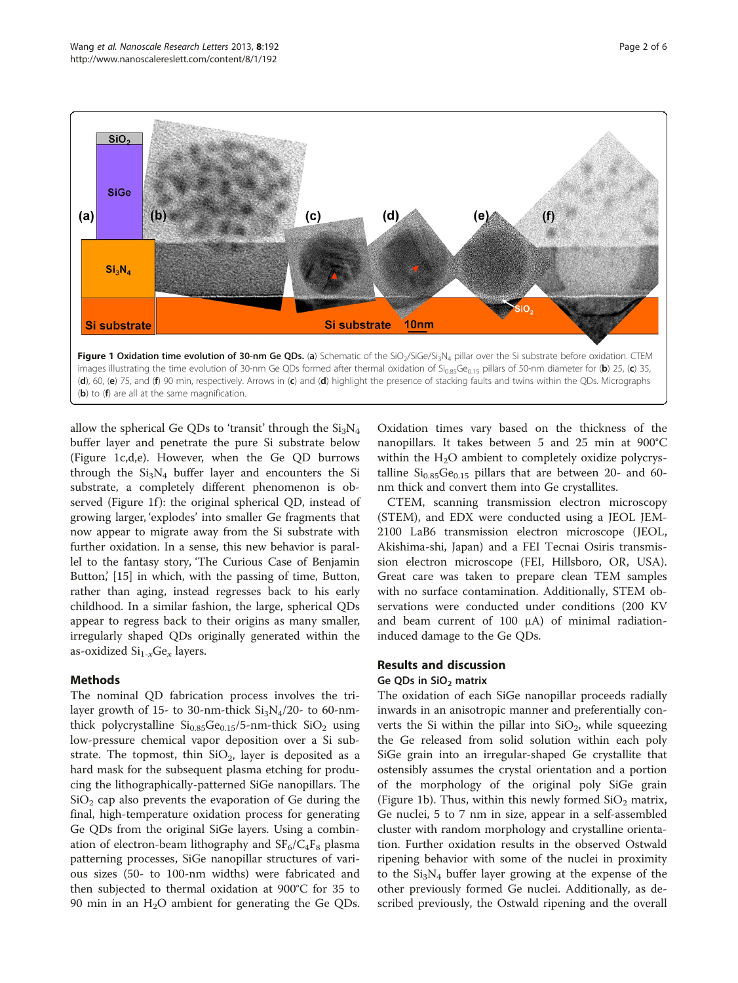<span id="page-1-0"></span>

 $(b)$  to  $(f)$  are all at the same magnification.

allow the spherical Ge QDs to 'transit' through the  $Si<sub>3</sub>N<sub>4</sub>$ buffer layer and penetrate the pure Si substrate below (Figure 1c,d,e). However, when the Ge QD burrows through the  $Si<sub>3</sub>N<sub>4</sub>$  buffer layer and encounters the Si substrate, a completely different phenomenon is observed (Figure 1f): the original spherical QD, instead of growing larger, 'explodes' into smaller Ge fragments that now appear to migrate away from the Si substrate with further oxidation. In a sense, this new behavior is parallel to the fantasy story, 'The Curious Case of Benjamin Button,' [\[15](#page-5-0)] in which, with the passing of time, Button, rather than aging, instead regresses back to his early childhood. In a similar fashion, the large, spherical QDs appear to regress back to their origins as many smaller, irregularly shaped QDs originally generated within the as-oxidized  $\mathrm{Si}_{1-x}\mathrm{Ge}_{x}$  layers.

### Methods

The nominal QD fabrication process involves the trilayer growth of 15- to 30-nm-thick  $Si<sub>3</sub>N<sub>4</sub>/20$ - to 60-nmthick polycrystalline  $Si<sub>0.85</sub>Ge<sub>0.15</sub>/5$ -nm-thick  $SiO<sub>2</sub>$  using low-pressure chemical vapor deposition over a Si substrate. The topmost, thin  $SiO<sub>2</sub>$ , layer is deposited as a hard mask for the subsequent plasma etching for producing the lithographically-patterned SiGe nanopillars. The  $SiO<sub>2</sub>$  cap also prevents the evaporation of Ge during the final, high-temperature oxidation process for generating Ge QDs from the original SiGe layers. Using a combination of electron-beam lithography and  $SF_6/C_4F_8$  plasma patterning processes, SiGe nanopillar structures of various sizes (50- to 100-nm widths) were fabricated and then subjected to thermal oxidation at 900°C for 35 to 90 min in an  $H_2O$  ambient for generating the Ge QDs.

Oxidation times vary based on the thickness of the nanopillars. It takes between 5 and 25 min at 900°C within the  $H_2O$  ambient to completely oxidize polycrystalline  $Si<sub>0.85</sub>Ge<sub>0.15</sub>$  pillars that are between 20- and 60nm thick and convert them into Ge crystallites.

CTEM, scanning transmission electron microscopy (STEM), and EDX were conducted using a JEOL JEM-2100 LaB6 transmission electron microscope (JEOL, Akishima-shi, Japan) and a FEI Tecnai Osiris transmission electron microscope (FEI, Hillsboro, OR, USA). Great care was taken to prepare clean TEM samples with no surface contamination. Additionally, STEM observations were conducted under conditions (200 KV and beam current of 100 μA) of minimal radiationinduced damage to the Ge QDs.

# Results and discussion

#### Ge QDs in  $SiO<sub>2</sub>$  matrix

The oxidation of each SiGe nanopillar proceeds radially inwards in an anisotropic manner and preferentially converts the Si within the pillar into  $SiO<sub>2</sub>$ , while squeezing the Ge released from solid solution within each poly SiGe grain into an irregular-shaped Ge crystallite that ostensibly assumes the crystal orientation and a portion of the morphology of the original poly SiGe grain (Figure 1b). Thus, within this newly formed  $SiO<sub>2</sub>$  matrix, Ge nuclei, 5 to 7 nm in size, appear in a self-assembled cluster with random morphology and crystalline orientation. Further oxidation results in the observed Ostwald ripening behavior with some of the nuclei in proximity to the  $Si<sub>3</sub>N<sub>4</sub>$  buffer layer growing at the expense of the other previously formed Ge nuclei. Additionally, as described previously, the Ostwald ripening and the overall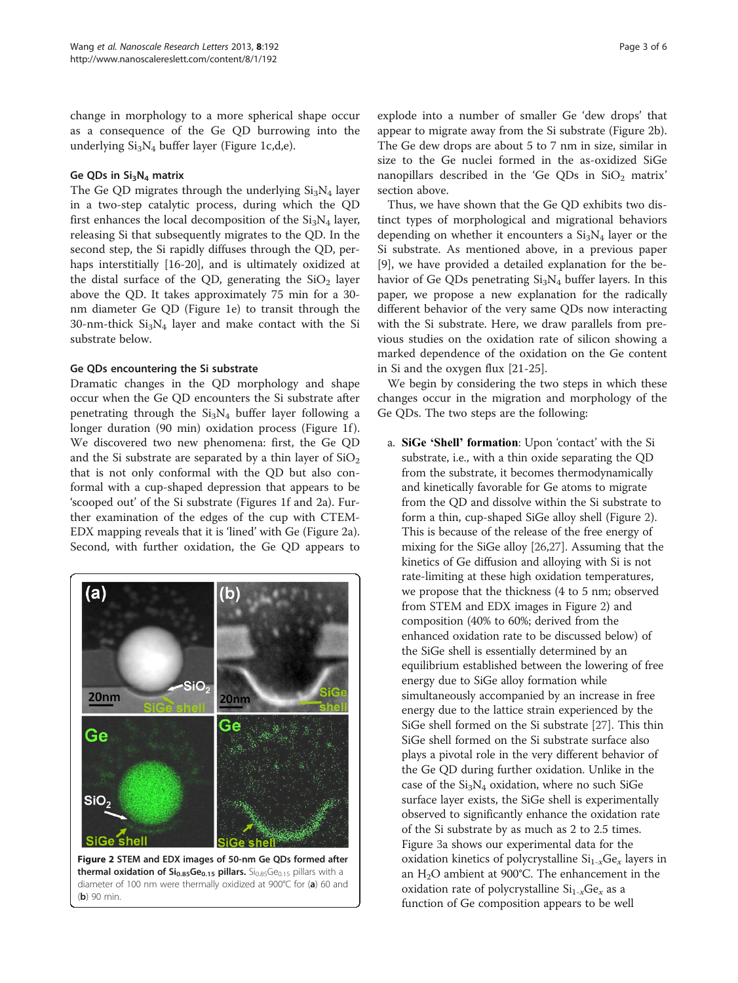change in morphology to a more spherical shape occur as a consequence of the Ge QD burrowing into the underlying Si3N4 buffer layer (Figure [1c](#page-1-0),d,e).

## Ge QDs in  $Si<sub>3</sub>N<sub>4</sub>$  matrix

The Ge QD migrates through the underlying  $Si<sub>3</sub>N<sub>4</sub>$  layer in a two-step catalytic process, during which the QD first enhances the local decomposition of the  $Si<sub>3</sub>N<sub>4</sub>$  layer, releasing Si that subsequently migrates to the QD. In the second step, the Si rapidly diffuses through the QD, perhaps interstitially [[16-20](#page-5-0)], and is ultimately oxidized at the distal surface of the QD, generating the  $SiO<sub>2</sub>$  layer above the QD. It takes approximately 75 min for a 30 nm diameter Ge QD (Figure [1e](#page-1-0)) to transit through the 30-nm-thick  $Si<sub>3</sub>N<sub>4</sub>$  layer and make contact with the Si substrate below.

# Ge QDs encountering the Si substrate

Dramatic changes in the QD morphology and shape occur when the Ge QD encounters the Si substrate after penetrating through the  $Si<sub>3</sub>N<sub>4</sub>$  buffer layer following a longer duration (90 min) oxidation process (Figure [1](#page-1-0)f). We discovered two new phenomena: first, the Ge QD and the Si substrate are separated by a thin layer of  $SiO<sub>2</sub>$ that is not only conformal with the QD but also conformal with a cup-shaped depression that appears to be 'scooped out' of the Si substrate (Figures [1](#page-1-0)f and 2a). Further examination of the edges of the cup with CTEM-EDX mapping reveals that it is 'lined' with Ge (Figure 2a). Second, with further oxidation, the Ge QD appears to



Figure 2 STEM and EDX images of 50-nm Ge QDs formed after thermal oxidation of  $Si_{0.85}Ge_{0.15}$  pillars.  $Si_{0.85}Ge_{0.15}$  pillars with a diameter of 100 nm were thermally oxidized at 900°C for (a) 60 and  $(b)$  90 min

explode into a number of smaller Ge 'dew drops' that appear to migrate away from the Si substrate (Figure 2b). The Ge dew drops are about 5 to 7 nm in size, similar in size to the Ge nuclei formed in the as-oxidized SiGe nanopillars described in the 'Ge QDs in  $SiO<sub>2</sub>$  matrix' section above.

Thus, we have shown that the Ge QD exhibits two distinct types of morphological and migrational behaviors depending on whether it encounters a  $Si<sub>3</sub>N<sub>4</sub>$  layer or the Si substrate. As mentioned above, in a previous paper [[9\]](#page-4-0), we have provided a detailed explanation for the behavior of Ge QDs penetrating  $Si<sub>3</sub>N<sub>4</sub>$  buffer layers. In this paper, we propose a new explanation for the radically different behavior of the very same QDs now interacting with the Si substrate. Here, we draw parallels from previous studies on the oxidation rate of silicon showing a marked dependence of the oxidation on the Ge content in Si and the oxygen flux [\[21](#page-5-0)-[25\]](#page-5-0).

We begin by considering the two steps in which these changes occur in the migration and morphology of the Ge QDs. The two steps are the following:

a. SiGe 'Shell' formation: Upon 'contact' with the Si substrate, i.e., with a thin oxide separating the QD from the substrate, it becomes thermodynamically and kinetically favorable for Ge atoms to migrate from the QD and dissolve within the Si substrate to form a thin, cup-shaped SiGe alloy shell (Figure 2). This is because of the release of the free energy of mixing for the SiGe alloy [[26,27\]](#page-5-0). Assuming that the kinetics of Ge diffusion and alloying with Si is not rate-limiting at these high oxidation temperatures, we propose that the thickness (4 to 5 nm; observed from STEM and EDX images in Figure 2) and composition (40% to 60%; derived from the enhanced oxidation rate to be discussed below) of the SiGe shell is essentially determined by an equilibrium established between the lowering of free energy due to SiGe alloy formation while simultaneously accompanied by an increase in free energy due to the lattice strain experienced by the SiGe shell formed on the Si substrate [[27](#page-5-0)]. This thin SiGe shell formed on the Si substrate surface also plays a pivotal role in the very different behavior of the Ge QD during further oxidation. Unlike in the case of the  $Si<sub>3</sub>N<sub>4</sub>$  oxidation, where no such SiGe surface layer exists, the SiGe shell is experimentally observed to significantly enhance the oxidation rate of the Si substrate by as much as 2 to 2.5 times. Figure [3](#page-3-0)a shows our experimental data for the oxidation kinetics of polycrystalline  $Si_{1-x}Ge_x$  layers in an  $H_2O$  ambient at 900°C. The enhancement in the oxidation rate of polycrystalline  $Si_{1-x}Ge_x$  as a function of Ge composition appears to be well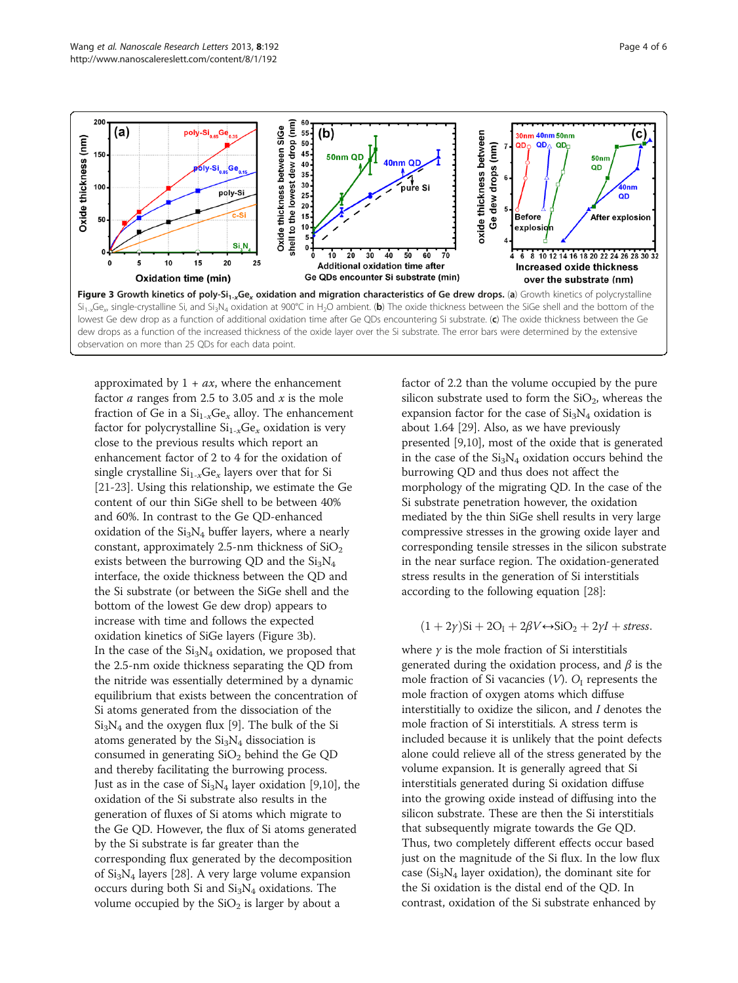<span id="page-3-0"></span>

approximated by  $1 + ax$ , where the enhancement factor  $a$  ranges from 2.5 to 3.05 and  $x$  is the mole fraction of Ge in a  $Si_{1-x}Ge_x$  alloy. The enhancement factor for polycrystalline  $Si_{1-x}Ge_x$  oxidation is very close to the previous results which report an enhancement factor of 2 to 4 for the oxidation of single crystalline  $Si_{1-x}Ge_x$  layers over that for Si [\[21](#page-5-0)-[23](#page-5-0)]. Using this relationship, we estimate the Ge content of our thin SiGe shell to be between 40% and 60%. In contrast to the Ge QD-enhanced oxidation of the  $Si<sub>3</sub>N<sub>4</sub>$  buffer layers, where a nearly constant, approximately 2.5-nm thickness of  $SiO<sub>2</sub>$ exists between the burrowing QD and the  $Si<sub>3</sub>N<sub>4</sub>$ interface, the oxide thickness between the QD and the Si substrate (or between the SiGe shell and the bottom of the lowest Ge dew drop) appears to increase with time and follows the expected oxidation kinetics of SiGe layers (Figure 3b). In the case of the  $Si<sub>3</sub>N<sub>4</sub>$  oxidation, we proposed that the 2.5-nm oxide thickness separating the QD from the nitride was essentially determined by a dynamic equilibrium that exists between the concentration of Si atoms generated from the dissociation of the  $Si<sub>3</sub>N<sub>4</sub>$  and the oxygen flux [\[9](#page-4-0)]. The bulk of the Si atoms generated by the  $Si<sub>3</sub>N<sub>4</sub>$  dissociation is consumed in generating  $SiO<sub>2</sub>$  behind the Ge QD and thereby facilitating the burrowing process. Just as in the case of  $Si<sub>3</sub>N<sub>4</sub>$  layer oxidation [[9,10\]](#page-4-0), the oxidation of the Si substrate also results in the generation of fluxes of Si atoms which migrate to the Ge QD. However, the flux of Si atoms generated by the Si substrate is far greater than the corresponding flux generated by the decomposition of  $Si<sub>3</sub>N<sub>4</sub>$  layers [[28\]](#page-5-0). A very large volume expansion occurs during both Si and  $Si<sub>3</sub>N<sub>4</sub>$  oxidations. The volume occupied by the  $SiO<sub>2</sub>$  is larger by about a

factor of 2.2 than the volume occupied by the pure silicon substrate used to form the  $SiO<sub>2</sub>$ , whereas the expansion factor for the case of  $Si<sub>3</sub>N<sub>4</sub>$  oxidation is about 1.64 [[29](#page-5-0)]. Also, as we have previously presented [\[9,10\]](#page-4-0), most of the oxide that is generated in the case of the  $Si<sub>3</sub>N<sub>4</sub>$  oxidation occurs behind the burrowing QD and thus does not affect the morphology of the migrating QD. In the case of the Si substrate penetration however, the oxidation mediated by the thin SiGe shell results in very large compressive stresses in the growing oxide layer and corresponding tensile stresses in the silicon substrate in the near surface region. The oxidation-generated stress results in the generation of Si interstitials according to the following equation [\[28\]](#page-5-0):

# $(1+2\gamma)$ Si + 2O<sub>I</sub> + 2βV  $\leftrightarrow$  SiO<sub>2</sub> + 2γI + stress.

where  $\gamma$  is the mole fraction of Si interstitials generated during the oxidation process, and  $\beta$  is the mole fraction of Si vacancies  $(V)$ .  $O<sub>I</sub>$  represents the mole fraction of oxygen atoms which diffuse interstitially to oxidize the silicon, and I denotes the mole fraction of Si interstitials. A stress term is included because it is unlikely that the point defects alone could relieve all of the stress generated by the volume expansion. It is generally agreed that Si interstitials generated during Si oxidation diffuse into the growing oxide instead of diffusing into the silicon substrate. These are then the Si interstitials that subsequently migrate towards the Ge QD. Thus, two completely different effects occur based just on the magnitude of the Si flux. In the low flux case ( $Si<sub>3</sub>N<sub>4</sub>$  layer oxidation), the dominant site for the Si oxidation is the distal end of the QD. In contrast, oxidation of the Si substrate enhanced by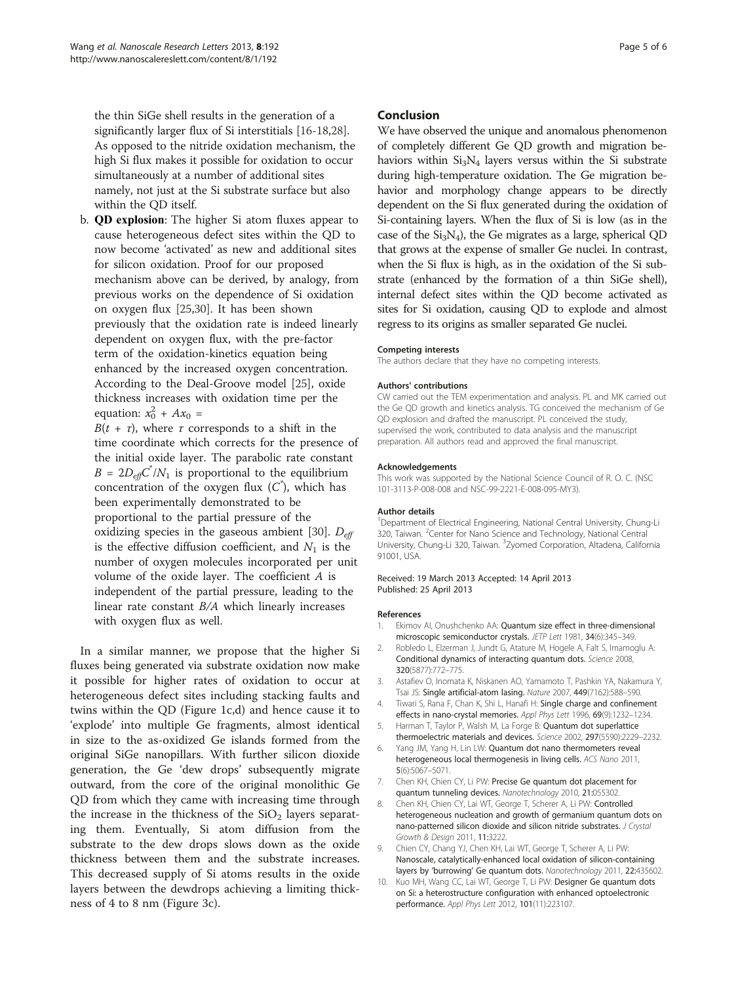<span id="page-4-0"></span>the thin SiGe shell results in the generation of a significantly larger flux of Si interstitials [\[16](#page-5-0)-[18,28](#page-5-0)]. As opposed to the nitride oxidation mechanism, the high Si flux makes it possible for oxidation to occur simultaneously at a number of additional sites namely, not just at the Si substrate surface but also within the QD itself.

b. QD explosion: The higher Si atom fluxes appear to cause heterogeneous defect sites within the QD to now become 'activated' as new and additional sites for silicon oxidation. Proof for our proposed mechanism above can be derived, by analogy, from previous works on the dependence of Si oxidation on oxygen flux [\[25,30\]](#page-5-0). It has been shown previously that the oxidation rate is indeed linearly dependent on oxygen flux, with the pre-factor term of the oxidation-kinetics equation being enhanced by the increased oxygen concentration. According to the Deal-Groove model [\[25\]](#page-5-0), oxide thickness increases with oxidation time per the equation:  $x_0^2 + Ax_0 =$ 

 $B(t + \tau)$ , where  $\tau$  corresponds to a shift in the time coordinate which corrects for the presence of the initial oxide layer. The parabolic rate constant  $B = 2D_{\text{eff}}C^{\dagger}/N_1$  is proportional to the equilibrium concentration of the oxygen flux  $(C^*)$ , which has been experimentally demonstrated to be proportional to the partial pressure of the oxidizing species in the gaseous ambient [[30](#page-5-0)].  $D_{\text{eff}}$ is the effective diffusion coefficient, and  $N_1$  is the number of oxygen molecules incorporated per unit volume of the oxide layer. The coefficient A is independent of the partial pressure, leading to the linear rate constant B/A which linearly increases with oxygen flux as well.

In a similar manner, we propose that the higher Si fluxes being generated via substrate oxidation now make it possible for higher rates of oxidation to occur at heterogeneous defect sites including stacking faults and twins within the QD (Figure [1](#page-1-0)c,d) and hence cause it to 'explode' into multiple Ge fragments, almost identical in size to the as-oxidized Ge islands formed from the original SiGe nanopillars. With further silicon dioxide generation, the Ge 'dew drops' subsequently migrate outward, from the core of the original monolithic Ge QD from which they came with increasing time through the increase in the thickness of the  $SiO<sub>2</sub>$  layers separating them. Eventually, Si atom diffusion from the substrate to the dew drops slows down as the oxide thickness between them and the substrate increases. This decreased supply of Si atoms results in the oxide layers between the dewdrops achieving a limiting thickness of 4 to 8 nm (Figure [3](#page-3-0)c).

### Conclusion

We have observed the unique and anomalous phenomenon of completely different Ge QD growth and migration behaviors within  $Si<sub>3</sub>N<sub>4</sub>$  layers versus within the Si substrate during high-temperature oxidation. The Ge migration behavior and morphology change appears to be directly dependent on the Si flux generated during the oxidation of Si-containing layers. When the flux of Si is low (as in the case of the  $Si<sub>3</sub>N<sub>4</sub>$ ), the Ge migrates as a large, spherical QD that grows at the expense of smaller Ge nuclei. In contrast, when the Si flux is high, as in the oxidation of the Si substrate (enhanced by the formation of a thin SiGe shell), internal defect sites within the QD become activated as sites for Si oxidation, causing QD to explode and almost regress to its origins as smaller separated Ge nuclei.

#### Competing interests

The authors declare that they have no competing interests.

#### Authors' contributions

CW carried out the TEM experimentation and analysis. PL and MK carried out the Ge QD growth and kinetics analysis. TG conceived the mechanism of Ge QD explosion and drafted the manuscript. PL conceived the study, supervised the work, contributed to data analysis and the manuscript preparation. All authors read and approved the final manuscript.

#### Acknowledgements

This work was supported by the National Science Council of R. O. C. (NSC 101-3113-P-008-008 and NSC-99-2221-E-008-095-MY3).

#### Author details

<sup>1</sup>Department of Electrical Engineering, National Central University, Chung-Li 320, Taiwan. <sup>2</sup>Center for Nano Science and Technology, National Central University, Chung-Li 320, Taiwan. <sup>3</sup>Zyomed Corporation, Altadena, California 91001, USA.

#### Received: 19 March 2013 Accepted: 14 April 2013 Published: 25 April 2013

#### References

- Ekimov AI, Onushchenko AA: Quantum size effect in three-dimensional microscopic semiconductor crystals. JFTP Lett 1981, 34(6):345-349.
- 2. Robledo L, Elzerman J, Jundt G, Atature M, Hogele A, Falt S, Imamoglu A: Conditional dynamics of interacting quantum dots. Science 2008, 320(5877):772–775.
- 3. Astafiev O, Inomata K, Niskanen AO, Yamamoto T, Pashkin YA, Nakamura Y, Tsai JS: Single artificial-atom lasing. Nature 2007, 449(7162):588–590.
- 4. Tiwari S, Rana F, Chan K, Shi L, Hanafi H: Single charge and confinement effects in nano-crystal memories. Appl Phys Lett 1996, 69(9):1232–1234.
- 5. Harman T, Taylor P, Walsh M, La Forge B: Quantum dot superlattice thermoelectric materials and devices. Science 2002, 297(5590):2229–2232.
- 6. Yang JM, Yang H, Lin LW: Quantum dot nano thermometers reveal heterogeneous local thermogenesis in living cells. ACS Nano 2011, 5(6):5067–5071.
- 7. Chen KH, Chien CY, Li PW: Precise Ge quantum dot placement for quantum tunneling devices. Nanotechnology 2010, 21:055302.
- Chen KH, Chien CY, Lai WT, George T, Scherer A, Li PW: Controlled heterogeneous nucleation and growth of germanium quantum dots on nano-patterned silicon dioxide and silicon nitride substrates. J Crystal Growth & Design 2011, 11:3222.
- 9. Chien CY, Chang YJ, Chen KH, Lai WT, George T, Scherer A, Li PW: Nanoscale, catalytically-enhanced local oxidation of silicon-containing layers by 'burrowing' Ge quantum dots. Nanotechnology 2011, 22:435602.
- 10. Kuo MH, Wang CC, Lai WT, George T, Li PW: Designer Ge quantum dots on Si: a heterostructure configuration with enhanced optoelectronic performance. Appl Phys Lett 2012, 101(11):223107.